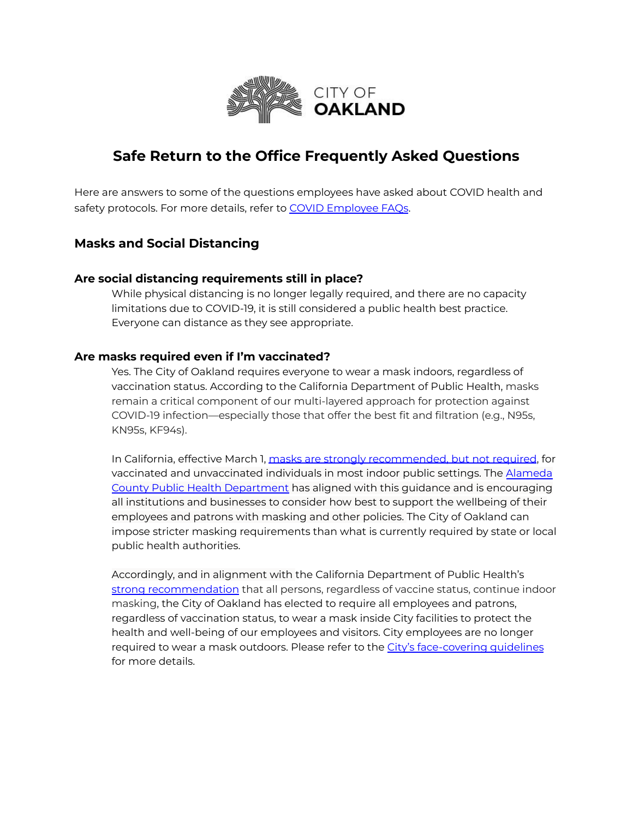

# **Safe Return to the Office Frequently Asked Questions**

Here are answers to some of the questions employees have asked about COVID health and safety protocols. For more details, refer to COVID [Employee](https://cao-94612.s3.amazonaws.com/documents/COVID-19-FAQs-1-March-2022.pdf) FAQs.

## **Masks and Social Distancing**

#### **Are social distancing requirements still in place?**

While physical distancing is no longer legally required, and there are no capacity limitations due to COVID-19, it is still considered a public health best practice. Everyone can distance as they see appropriate.

#### **Are masks required even if I'm vaccinated?**

Yes. The City of Oakland requires everyone to wear a mask indoors, regardless of vaccination status. According to the California Department of Public Health, masks remain a critical component of our multi-layered approach for protection against COVID-19 infection—especially those that offer the best fit and filtration (e.g., N95s, KN95s, KF94s).

In California, effective March 1, masks are strongly [recommended,](https://www.cdph.ca.gov/Programs/CID/DCDC/Pages/COVID-19/guidance-for-face-coverings.aspx) but not required, for vaccinated and unvaccinated individuals in most indoor public settings. The [Alameda](https://covid-19.acgov.org/covid19-assets/docs/press/press-release-2022.02.28.pdf) County Public Health [Department](https://covid-19.acgov.org/covid19-assets/docs/press/press-release-2022.02.28.pdf) has aligned with this guidance and is encouraging all institutions and businesses to consider how best to support the wellbeing of their employees and patrons with masking and other policies. The City of Oakland can impose stricter masking requirements than what is currently required by state or local public health authorities.

Accordingly, and in alignment with the California Department of Public Health'[s](https://www.cdph.ca.gov/Programs/CID/DCDC/Pages/COVID-19/guidance-for-face-coverings.aspx) strong [recommendation](https://www.cdph.ca.gov/Programs/CID/DCDC/Pages/COVID-19/guidance-for-face-coverings.aspx) that all persons, regardless of vaccine status, continue indoor masking, the City of Oakland has elected to require all employees and patrons, regardless of vaccination status, to wear a mask inside City facilities to protect the health and well-being of our employees and visitors. City employees are no longer required to wear a mask outdoors. Please refer to the City's [face-covering](https://cao-94612.s3.amazonaws.com/documents/COVID-19-FAQs-17-Jan-2022.pdf) guidelines for more details.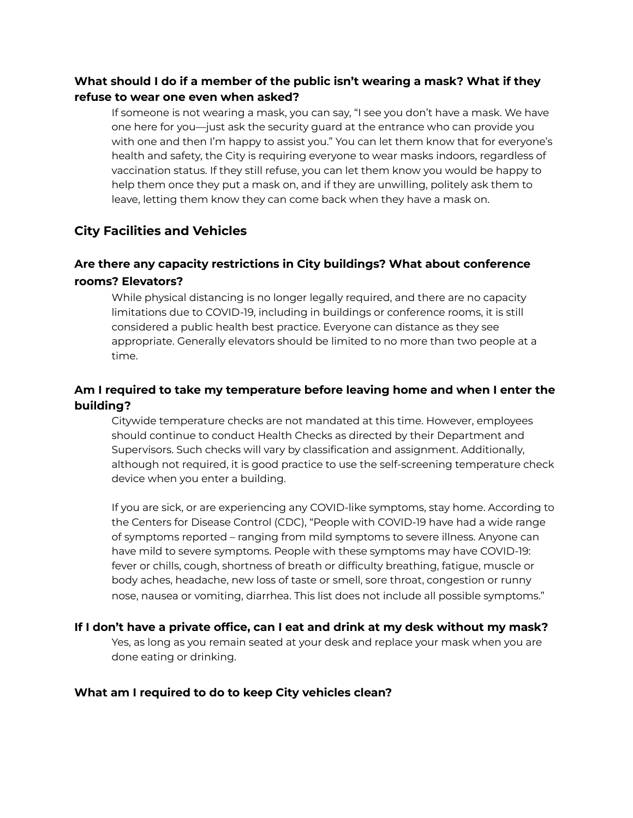### **What should I do if a member of the public isn't wearing a mask? What if they refuse to wear one even when asked?**

If someone is not wearing a mask, you can say, "I see you don't have a mask. We have one here for you—just ask the security guard at the entrance who can provide you with one and then I'm happy to assist you." You can let them know that for everyone's health and safety, the City is requiring everyone to wear masks indoors, regardless of vaccination status. If they still refuse, you can let them know you would be happy to help them once they put a mask on, and if they are unwilling, politely ask them to leave, letting them know they can come back when they have a mask on.

## **City Facilities and Vehicles**

## **Are there any capacity restrictions in City buildings? What about conference rooms? Elevators?**

While physical distancing is no longer legally required, and there are no capacity limitations due to COVID-19, including in buildings or conference rooms, it is still considered a public health best practice. Everyone can distance as they see appropriate. Generally elevators should be limited to no more than two people at a time.

## **Am I required to take my temperature before leaving home and when I enter the building?**

Citywide temperature checks are not mandated at this time. However, employees should continue to conduct Health Checks as directed by their Department and Supervisors. Such checks will vary by classification and assignment. Additionally, although not required, it is good practice to use the self-screening temperature check device when you enter a building.

If you are sick, or are experiencing any COVID-like symptoms, stay home. According to the Centers for Disease Control (CDC), "People with COVID-19 have had a wide range of symptoms reported – ranging from mild symptoms to severe illness. Anyone can have mild to severe symptoms. People with these symptoms may have COVID-19: fever or chills, cough, shortness of breath or difficulty breathing, fatigue, muscle or body aches, headache, new loss of taste or smell, sore throat, congestion or runny nose, nausea or vomiting, diarrhea. This list does not include all possible symptoms."

#### **If I don't have a private office, can I eat and drink at my desk without my mask?** Yes, as long as you remain seated at your desk and replace your mask when you are done eating or drinking.

### **What am I required to do to keep City vehicles clean?**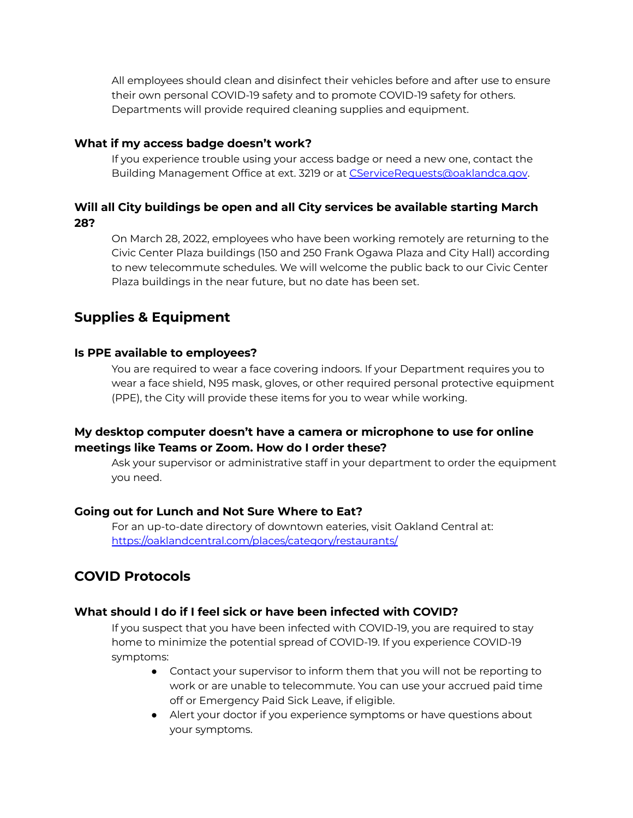All employees should clean and disinfect their vehicles before and after use to ensure their own personal COVID-19 safety and to promote COVID-19 safety for others. Departments will provide required cleaning supplies and equipment.

### **What if my access badge doesn't work?**

If you experience trouble using your access badge or need a new one, contact the Building Management Office at ext. 3219 or at CServiceRequests@oaklandca.gov.

### **Will all City buildings be open and all City services be available starting March 28?**

On March 28, 2022, employees who have been working remotely are returning to the Civic Center Plaza buildings (150 and 250 Frank Ogawa Plaza and City Hall) according to new telecommute schedules. We will welcome the public back to our Civic Center Plaza buildings in the near future, but no date has been set.

# **Supplies & Equipment**

### **Is PPE available to employees?**

You are required to wear a face covering indoors. If your Department requires you to wear a face shield, N95 mask, gloves, or other required personal protective equipment (PPE), the City will provide these items for you to wear while working.

### **My desktop computer doesn't have a camera or microphone to use for online meetings like Teams or Zoom. How do I order these?**

Ask your supervisor or administrative staff in your department to order the equipment you need.

#### **Going out for Lunch and Not Sure Where to Eat?**

For an up-to-date directory of downtown eateries, visit Oakland Central at: <https://oaklandcentral.com/places/category/restaurants/>

# **COVID Protocols**

#### **What should I do if I feel sick or have been infected with COVID?**

If you suspect that you have been infected with COVID-19, you are required to stay home to minimize the potential spread of COVID-19. If you experience COVID-19 symptoms:

- Contact your supervisor to inform them that you will not be reporting to work or are unable to telecommute. You can use your accrued paid time off or Emergency Paid Sick Leave, if eligible.
- Alert your doctor if you experience symptoms or have questions about your symptoms.